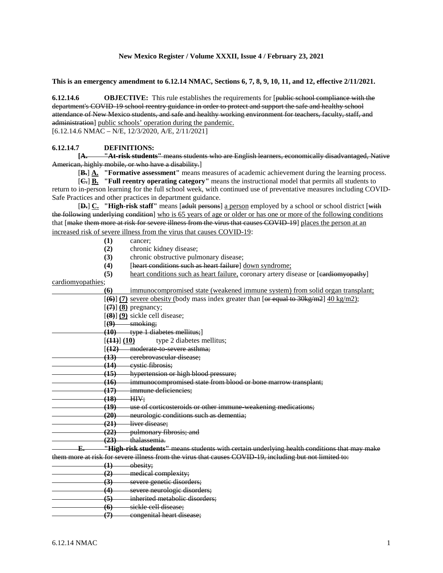### **New Mexico Register / Volume XXXII, Issue 4 / February 23, 2021**

**This is an emergency amendment to 6.12.14 NMAC, Sections 6, 7, 8, 9, 10, 11, and 12, effective 2/11/2021.**

**6.12.14.6 OBJECTIVE:** This rule establishes the requirements for [public school compliance with the department's COVID-19 school reentry guidance in order to protect and support the safe and healthy school attendance of New Mexico students, and safe and healthy working environment for teachers, faculty, staff, and administration] public schools' operation during the pandemic.

[6.12.14.6 NMAC – N/E, 12/3/2020, A/E, 2/11/2021]

#### **6.12.14.7 DEFINITIONS:**

**[A. "At-risk students"** means students who are English learners, economically disadvantaged, Native American, highly mobile, or who have a disability.]

[**B.**] **A. "Formative assessment"** means measures of academic achievement during the learning process.

[**C.**] **B. "Full reentry operating category"** means the instructional model that permits all students to return to in-person learning for the full school week, with continued use of preventative measures including COVID-Safe Practices and other practices in department guidance.

[**D.**] **C. "High-risk staff"** means [adult persons] a person employed by a school or school district [with the following underlying condition] who is 65 years of age or older or has one or more of the following conditions that [make them more at risk for severe illness from the virus that causes COVID-19] places the person at an increased risk of severe illness from the virus that causes COVID-19:

- **(1)** cancer;
- **(2)** chronic kidney disease;
- **(3)** chronic obstructive pulmonary disease;
- **(4)** [heart conditions such as heart failure] <u>down syndrome;</u><br>**(5)** heart conditions such as heart failure, coronary artery dis
- heart conditions such as heart failure, coronary artery disease or [eardiomyopathy]

cardiomyopathies;

| (6)               | immunocompromised state (weakened immune system) from solid organ transplant;                           |
|-------------------|---------------------------------------------------------------------------------------------------------|
|                   | $[66]$ (7) severe obesity (body mass index greater than [or equal to 30 kg/m2] $40 \text{ kg/m2}$ ;     |
|                   | $[\left(4\right)]$ (8) pregnancy;                                                                       |
|                   | $[ (8) ] (9)$ sickle cell disease;                                                                      |
| $(\Theta)$        | smoking;                                                                                                |
| (10)              | type 1 diabetes mellitus;                                                                               |
| [ (44) ] (10)     | type 2 diabetes mellitus;                                                                               |
| (42)              | moderate to severe asthma;                                                                              |
| (13)              | cerebrovascular disease;                                                                                |
| (14)              | eystie fibrosis;                                                                                        |
| (15)              | hypertension or high blood pressure;                                                                    |
| (16)              | immunocompromised state from blood or bone marrow transplant;                                           |
| (17)              | immune deficiencies;                                                                                    |
| (18)              | HIV:                                                                                                    |
| (19)              | use of corticosteroids or other immune weakening medications;                                           |
| (20)              | neurologic conditions such as dementia;                                                                 |
| (21)              | liver disease;                                                                                          |
| (22)              | pulmonary fibrosis; and                                                                                 |
| (23)              | thalassemia.                                                                                            |
|                   | "High-risk students" means students with certain underlying health conditions that may make             |
|                   | them more at risk for severe illness from the virus that causes COVID 19, including but not limited to: |
| $\left( 1\right)$ | obesity;                                                                                                |
| (2)               | medical complexity;                                                                                     |
| (3)               | severe genetic disorders;                                                                               |
| (4)               | severe neurologic disorders;                                                                            |
| (5)               | inherited metabolic disorders;                                                                          |
| (6)               | sickle cell disease;                                                                                    |
| $\left(7\right)$  | congenital heart disease;                                                                               |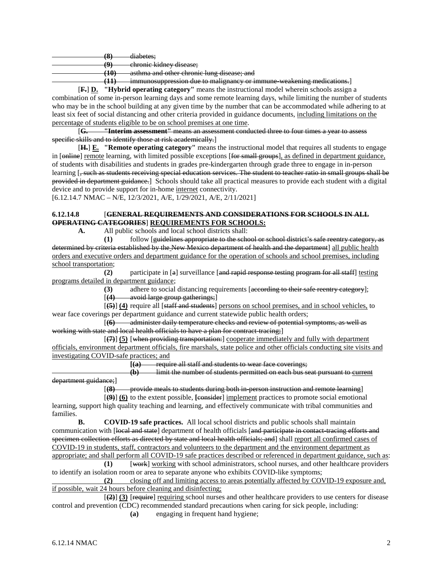**(8)** diabetes;

**(9)** chronic kidney disease;

**(10)** asthma and other chronic lung disease; and

**(11)** immunosuppression due to malignancy or immune-weakening medications.]

[**F.**] **D. "Hybrid operating category"** means the instructional model wherein schools assign a combination of some in-person learning days and some remote learning days, while limiting the number of students who may be in the school building at any given time by the number that can be accommodated while adhering to at least six feet of social distancing and other criteria provided in guidance documents, including limitations on the percentage of students eligible to be on school premises at one time.<br>
[G. The under the section of the section of the unit of the section of the unit of the unit of the unit of the unit of the unit of the unit of the unit

[**G. "Interim assessment"** means an assessment conducted three to four times a year to assess specific skills and to identify those at risk academically.

[**H.**] **E. "Remote operating category"** means the instructional model that requires all students to engage in [online] remote learning, with limited possible exceptions [for small groups], as defined in department guidance, of students with disabilities and students in grades pre-kindergarten through grade three to engage in in-person learning [, such as students receiving special education services. The student to teacher ratio in small groups shall be provided in department guidance.] Schools should take all practical measures to provide each student with a digital device and to provide support for in-home internet connectivity.

[6.12.14.7 NMAC – N/E, 12/3/2021, A/E, 1/29/2021, A/E, 2/11/2021]

# **6.12.14.8** [**GENERAL REQUIREMENTS AND CONSIDERATIONS FOR SCHOOLS IN ALL OPERATING CATEGORIES**] **REQUIREMENTS FOR SCHOOLS:**

**A.** All public schools and local school districts shall:

**(1)** follow [guidelines appropriate to the school or school district's safe reentry category, as determined by criteria established by the New Mexico department of health and the department] all public health orders and executive orders and department guidance for the operation of schools and school premises, including school transportation;

**(2)** participate in [a] surveillance [and rapid response testing program for all staff] testing programs detailed in department guidance;

**(3)** adhere to social distancing requirements [according to their safe reentry category];

[**(4)** avoid large group gatherings;]

[**(5)**] **(4)** require all [staff and students] persons on school premises, and in school vehicles, to wear face coverings per department guidance and current statewide public health orders;

[**(6)** administer daily temperature checks and review of potential symptoms, as well as working with state and local health officials to have a plan for contract-tracing;]

[**(7)**] **(5)** [when providing transportation:] cooperate immediately and fully with department officials, environment department officials, fire marshals, state police and other officials conducting site visits and investigating COVID-safe practices; and<br>  $[4a]$  requi-

**[(a)** require all staff and students to wear face coverings;

**(b)** limit the number of students permitted on each bus seat pursuant to current department guidance;]

[**(8)** provide meals to students during both in-person instruction and remote learning]

[**(9)**] **(6)** to the extent possible, **[**consider] implement practices to promote social emotional learning, support high quality teaching and learning, and effectively communicate with tribal communities and families.

**B. COVID-19 safe practices.** All local school districts and public schools shall maintain communication with [local and state] department of health officials [and participate in contact-tracing efforts and specimen collection efforts as directed by state and local health officials; and] shall report all confirmed cases of COVID-19 in students, staff, contractors and volunteers to the department and the environment department as appropriate; and shall perform all COVID-19 safe practices described or referenced in department guidance, such as:

**(1)** [work] working with school administrators, school nurses, and other healthcare providers to identify an isolation room or area to separate anyone who exhibits COVID-like symptoms;

**(2)** closing off and limiting access to areas potentially affected by COVID-19 exposure and, if possible, wait 24 hours before cleaning and disinfecting;

[**(2)**] **(3)** [require] requiring school nurses and other healthcare providers to use centers for disease control and prevention (CDC) recommended standard precautions when caring for sick people, including:

**(a)** engaging in frequent hand hygiene;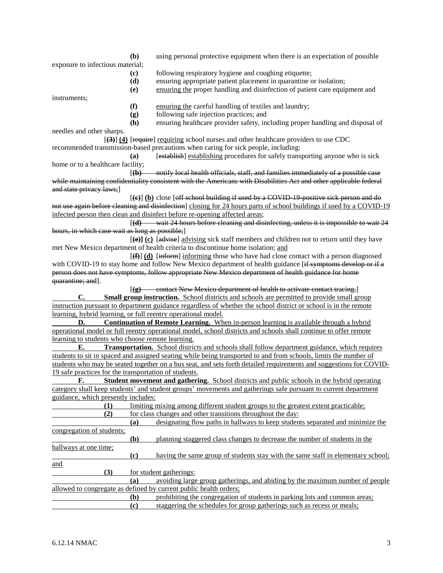exposure to infectious material;

- **(b)** using personal protective equipment when there is an expectation of possible
- **(c)** following respiratory hygiene and coughing etiquette;
- **(d)** ensuring appropriate patient placement in quarantine or isolation;
- **(e)** ensuring the proper handling and disinfection of patient care equipment and

instruments;

- **(f)** ensuring the careful handling of textiles and laundry;
- **(g)** following safe injection practices; and
- **(h)** ensuring healthcare provider safety, including proper handling and disposal of

needles and other sharps. [**(3)**] **(4)** [require] requiring school nurses and other healthcare providers to use CDC recommended transmission-based precautions when caring for sick people, including:

**(a)** [establish] establishing procedures for safely transporting anyone who is sick home or to a healthcare facility;

[**(b)** notify local health officials, staff, and families immediately of a possible case while maintaining confidentiality consistent with the Americans with Disabilities Act and other applicable federal and state privacy laws;]

[**(c)**] **(b)** close [off school building if used by a COVID-19-positive sick person and do not use again before cleaning and disinfection] closing for 24 hours parts of school buildings if used by a COVID-19 infected person then clean and disinfect before re-opening affected areas;

[**(d)** wait 24 hours before cleaning and disinfecting, unless it is impossible to wait 24 hours, in which case wait as long as possible;

[**(e)] (c)** [advise] advising sick staff members and children not to return until they have met New Mexico department of health criteria to discontinue home isolation; and

 $[\textbf{f}(\textbf{f})]$  (d) [inform] informing those who have had close contact with a person diagnosed with COVID-19 to stay home and follow New Mexico department of health guidance [if symptoms develop or if a person does not have symptoms, follow appropriate New Mexico department of health guidance for home quarantine; and].

[**(g)** contact New Mexico department of health to activate contact tracing.] **C. Small group instruction.** School districts and schools are permitted to provide small group instruction pursuant to department guidance regardless of whether the school district or school is in the remote learning, hybrid learning, or full reentry operational model.

**D. Continuation of Remote Learning.** When in-person learning is available through a hybrid operational model or full reentry operational model, school districts and schools shall continue to offer remote learning to students who choose remote learning.

**E. Transportation.** School districts and schools shall follow department guidance, which requires students to sit in spaced and assigned seating while being transported to and from schools, limits the number of students who may be seated together on a bus seat, and sets forth detailed requirements and suggestions for COVID-19 safe practices for the transportation of students.

**F. Student movement and gathering.** School districts and public schools in the hybrid operating category shall keep students' and student groups' movements and gatherings safe pursuant to current department guidance, which presently includes:

| T)                        |     | limiting mixing among different student groups to the greatest extent practicable; |
|---------------------------|-----|------------------------------------------------------------------------------------|
| (2)                       |     | for class changes and other transitions throughout the day:                        |
|                           | (a) | designating flow paths in hallways to keep students separated and minimize the     |
| congregation of students; |     |                                                                                    |
|                           | (b) | planning staggered class changes to decrease the number of students in the         |
| hallways at one time;     |     |                                                                                    |
|                           | (c) | having the same group of students stay with the same staff in elementary school;   |
| and                       |     |                                                                                    |
| (3)                       |     | for student gatherings:                                                            |
|                           | (a) | avoiding large group gatherings, and abiding by the maximum number of people       |
|                           |     | allowed to congregate as defined by current public health orders;                  |
|                           | (b) | prohibiting the congregation of students in parking lots and common areas;         |
|                           | (c) | staggering the schedules for group gatherings such as recess or meals;             |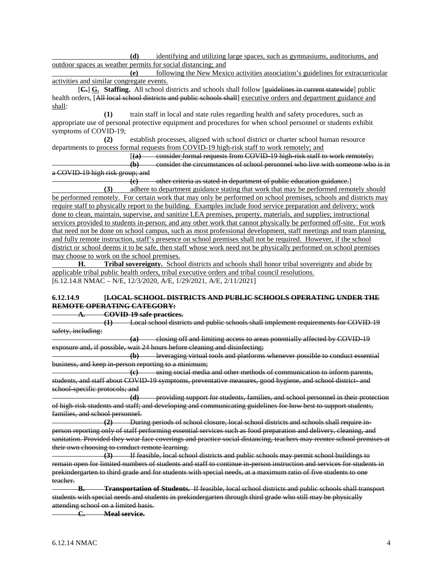**(d)** identifying and utilizing large spaces, such as gymnasiums, auditoriums, and outdoor spaces as weather permits for social distancing; and

**(e)** following the New Mexico activities association's guidelines for extracurricular activities and similar congregate events.

[**C.**] **G. Staffing.** All school districts and schools shall follow [guidelines in current statewide] public health orders, [All local school districts and public schools shall] executive orders and department guidance and shall:

**(1)** train staff in local and state rules regarding health and safety procedures, such as appropriate use of personal protective equipment and procedures for when school personnel or students exhibit symptoms of COVID-19;

**(2)** establish processes, aligned with school district or charter school human resource departments to process formal requests from COVID-19 high-risk staff to work remotely; and

[**(a)** consider formal requests from COVID-19 high-risk staff to work remotely;

**(b)** consider the circumstances of school personnel who live with someone who is in a COVID-19 high risk group; and

**(c)** other criteria as stated in department of public education guidance.]

**(3)** adhere to department guidance stating that work that may be performed remotely should be performed remotely. For certain work that may only be performed on school premises, schools and districts may require staff to physically report to the building. Examples include food service preparation and delivery; work done to clean, maintain, supervise, and sanitize LEA premises, property, materials, and supplies; instructional services provided to students in-person; and any other work that cannot physically be performed off-site. For work that need not be done on school campus, such as most professional development, staff meetings and team planning, and fully remote instruction, staff's presence on school premises shall not be required. However, if the school district or school deems it to be safe, then staff whose work need not be physically performed on school premises may choose to work on the school premises.

**H. Tribal sovereignty.** School districts and schools shall honor tribal sovereignty and abide by applicable tribal public health orders, tribal executive orders and tribal council resolutions. [6.12.14.8 NMAC – N/E, 12/3/2020, A/E, 1/29/2021, A/E, 2/11/2021]

## **6.12.14.9 [LOCAL SCHOOL DISTRICTS AND PUBLIC SCHOOLS OPERATING UNDER THE REMOTE OPERATING CATEGORY:**

**A. COVID-19 safe practices.**

**(1)** Local school districts and public schools shall implement requirements for COVID-19 safety, including:

**(a)** closing off and limiting access to areas potentially affected by COVID-19 exposure and, if possible, wait 24 hours before cleaning and disinfecting;

**(b)** leveraging virtual tools and platforms whenever possible to conduct essential business, and keep in-person reporting to a minimum;

**(c)** using social media and other methods of communication to inform parents, students, and staff about COVID-19 symptoms, preventative measures, good hygiene, and school district- and school-specific protocols; and

**(d)** providing support for students, families, and school personnel in their protection of high-risk students and staff; and developing and communicating guidelines for how best to support students, families, and school personnel.

**(2)** During periods of school closure, local school districts and schools shall require inperson reporting only of staff performing essential services such as food preparation and delivery, cleaning, and sanitation. Provided they wear face coverings and practice social distancing, teachers may reenter school premises at

their own choosing to conduct remote learning.<br>(3) If feasible, local sche **(3)** If feasible, local school districts and public schools may permit school buildings to remain open for limited numbers of students and staff to continue in-person instruction and services for students in prekindergarten to third grade and for students with special needs, at a maximum ratio of five students to one teacher.

**B. Transportation of Students.** If feasible, local school districts and public schools shall transport students with special needs and students in prekindergarten through third grade who still may be physically attending school on a limited basis.

**C. Meal service.**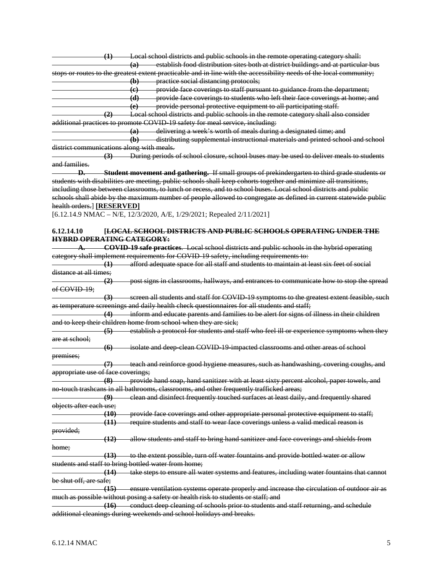|                                           |                        | (1) Local school districts and public schools in the remote operating category shall:                               |
|-------------------------------------------|------------------------|---------------------------------------------------------------------------------------------------------------------|
|                                           |                        | establish food distribution sites both at district buildings and at particular bus                                  |
|                                           |                        | (a)                                                                                                                 |
|                                           |                        | stops or routes to the greatest extent practicable and in line with the accessibility needs of the local community; |
|                                           |                        | (b) practice social distancing protocols;                                                                           |
|                                           |                        | (e) provide face coverings to staff pursuant to guidance from the department;                                       |
|                                           |                        | (d) provide face coverings to students who left their face coverings at home; and                                   |
|                                           |                        | (e) provide personal protective equipment to all participating staff.                                               |
|                                           |                        | (2) Local school districts and public schools in the remote category shall also consider                            |
|                                           |                        | additional practices to promote COVID 19 safety for meal service, including:                                        |
|                                           |                        | (a) delivering a week's worth of meals during a designated time; and                                                |
|                                           |                        | (b) distributing supplemental instructional materials and printed school and school                                 |
| district communications along with meals. |                        |                                                                                                                     |
|                                           |                        | (3) During periods of school closure, school buses may be used to deliver meals to students                         |
| and families.                             |                        |                                                                                                                     |
|                                           |                        | <b>D.</b> Student movement and gathering. If small groups of prekindergarten to third grade students or             |
|                                           |                        | students with disabilities are meeting, public schools shall keep cohorts together and minimize all transitions,    |
|                                           |                        | including those between classrooms, to lunch or recess, and to school buses. Local school districts and public      |
|                                           |                        |                                                                                                                     |
|                                           |                        | schools shall abide by the maximum number of people allowed to congregate as defined in current statewide public    |
| health orders.] [RESERVED]                |                        |                                                                                                                     |
|                                           |                        | [6.12.14.9 NMAC - N/E, 12/3/2020, A/E, 1/29/2021; Repealed 2/11/2021]                                               |
|                                           |                        |                                                                                                                     |
| 6.12.14.10                                |                        | [LOCAL SCHOOL DISTRICTS AND PUBLIC SCHOOLS OPERATING UNDER THE                                                      |
| <b>HYBRD OPERATING CATEGORY:</b>          |                        |                                                                                                                     |
|                                           |                        | <b>COVID-19 safe practices.</b> Local school districts and public schools in the hybrid operating                   |
|                                           |                        | category shall implement requirements for COVID 19 safety, including requirements to:                               |
|                                           |                        | (1) afford adequate space for all staff and students to maintain at least six feet of social                        |
| <del>distance at all times;</del>         |                        |                                                                                                                     |
|                                           | $\left( 2\right)$      | post signs in classrooms, hallways, and entrances to communicate how to stop the spread                             |
| of COVID-19;                              |                        |                                                                                                                     |
|                                           |                        | (3) screen all students and staff for COVID 19 symptoms to the greatest extent feasible, such                       |
|                                           |                        | as temperature screenings and daily health check questionnaires for all students and staff;                         |
|                                           |                        | (4) inform and educate parents and families to be alert for signs of illness in their children                      |
|                                           |                        |                                                                                                                     |
|                                           |                        | and to keep their children home from school when they are sick;                                                     |
|                                           |                        | (5) establish a protocol for students and staff who feel ill or experience symptoms when they                       |
| are at school;                            |                        |                                                                                                                     |
|                                           | (6)                    | isolate and deep clean COVID 19 impacted classrooms and other areas of school                                       |
| premises;                                 |                        |                                                                                                                     |
|                                           |                        | (7) teach and reinforce good hygiene measures, such as handwashing, covering coughs, and                            |
| appropriate use of face coverings;        |                        |                                                                                                                     |
|                                           | $\left( 8\right)$      | provide hand soap, hand sanitizer with at least sixty percent alcohol, paper towels, and                            |
|                                           |                        | no-touch trasheans in all bathrooms, classrooms, and other frequently trafficked areas;                             |
|                                           | $\boldsymbol{\varphi}$ | clean and disinfect frequently touched surfaces at least daily, and frequently shared                               |
| objects after each use;                   |                        |                                                                                                                     |
|                                           | (10)                   | provide face coverings and other appropriate personal protective equipment to staff;                                |
|                                           | (11)                   | require students and staff to wear face coverings unless a valid medical reason is                                  |
| provided;                                 |                        |                                                                                                                     |
|                                           | (12)                   | allow students and staff to bring hand sanitizer and face coverings and shields from                                |
| <del>home;</del>                          |                        |                                                                                                                     |
|                                           |                        |                                                                                                                     |
|                                           |                        | (13) to the extent possible, turn off water fountains and provide bottled water or allow                            |
|                                           |                        | students and staff to bring bottled water from home;                                                                |
|                                           | (14)                   | take steps to ensure all water systems and features, including water fountains that cannot                          |
| be shut off, are safe;                    |                        |                                                                                                                     |
|                                           | (15)                   | ensure ventilation systems operate properly and increase the circulation of outdoor air as                          |
|                                           |                        | much as possible without posing a safety or health risk to students or staff; and                                   |
|                                           |                        | (16) conduct deep cleaning of schools prior to students and staff returning, and schedule                           |
|                                           |                        | additional cleanings during weekends and school holidays and breaks.                                                |
|                                           |                        |                                                                                                                     |
|                                           |                        |                                                                                                                     |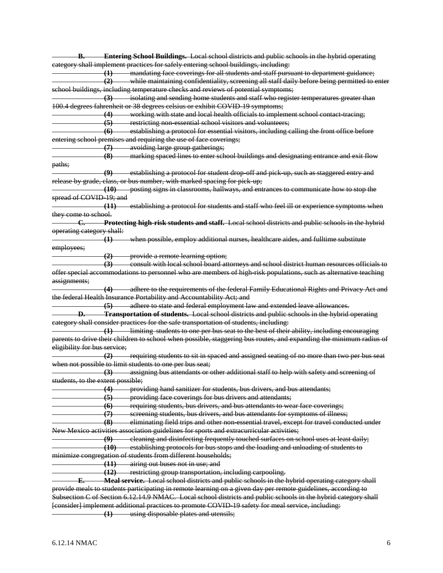**B. Entering School Buildings.** Local school districts and public schools in the hybrid operating category shall implement practices for safely entering school buildings, including: **(1)** mandating face coverings for all students and staff pursuant to department guidance; **(2)** while maintaining confidentiality, screening all staff daily before being permitted to enter school buildings, including temperature checks and reviews of potential symptoms; **(3)** isolating and sending home students and staff who register temperatures greater than 100.4 degrees fahrenheit or 38 degrees celsius or exhibit COVID-19 symptoms; **(4)** working with state and local health officials to implement school contact-tracing; **(5)** restricting non-essential school visitors and volunteers; **(6)** establishing a protocol for essential visitors, including calling the front office before entering school premises and requiring the use of face coverings; **(7)** avoiding large group gatherings; **(8)** marking spaced lines to enter school buildings and designating entrance and exit flow paths; **(9)** establishing a protocol for student drop-off and pick-up, such as staggered entry and release by grade, class, or bus number, with marked spacing for pick-up; **(10)** posting signs in classrooms, hallways, and entrances to communicate how to stop the spread of COVID-19; and **(11)** establishing a protocol for students and staff who feel ill or experience symptoms when they come to school. **C. Protecting high-risk students and staff.** Local school districts and public schools in the hybrid operating category shall: **(1)** when possible, employ additional nurses, healthcare aides, and fulltime substitute employees; **(2)** provide a remote learning option; **(3)** consult with local school board attorneys and school district human resources officials to offer special accommodations to personnel who are members of high-risk populations, such as alternative teaching assignments; **(4)** adhere to the requirements of the federal Family Educational Rights and Privacy Act and the federal Health Insurance Portability and Accountability Act; and **(5)** adhere to state and federal employment law and extended leave allowances. **D. Transportation of students.** Local school districts and public schools in the hybrid operating category shall consider practices for the safe transportation of students, including: **(1)** limiting students to one per bus seat to the best of their ability, including encouraging parents to drive their children to school when possible, staggering bus routes, and expanding the minimum radius of eligibility for bus service; **(2)** requiring students to sit in spaced and assigned seating of no more than two per bus seat when not possible to limit students to one per bus seat; **(3)** assigning bus attendants or other additional staff to help with safety and screening of students, to the extent possible; **(4)** providing hand sanitizer for students, bus drivers, and bus attendants; **(5)** providing face coverings for bus drivers and attendants; **(6)** requiring students, bus drivers, and bus attendants to wear face coverings; screening students, bus drivers, and bus attendants for symptoms of illness; **(8)** eliminating field trips and other non-essential travel, except for travel conducted under New Mexico activities association guidelines for sports and extracurricular activities; **(9)** cleaning and disinfecting frequently touched surfaces on school uses at least daily; **(10)** establishing protocols for bus stops and the loading and unloading of students to minimize congregation of students from different households; **(11)** airing out buses not in use; and **(12)** restricting group transportation, including carpooling. **E. Meal service.** Local school districts and public schools in the hybrid operating category shall provide meals to students participating in remote learning on a given day per remote guidelines, according to Subsection C of Section 6.12.14.9 NMAC. Local school districts and public schools in the hybrid category shall [consider] implement additional practices to promote COVID-19 safety for meal service, including: **(1)** using disposable plates and utensils;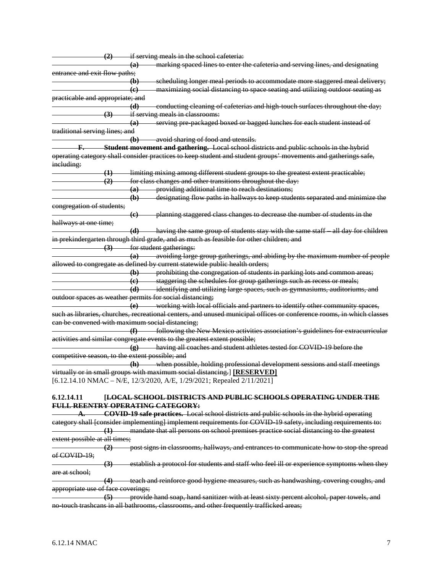|                                                 | (2) if serving meals in the school cafeteria:                                                                         |
|-------------------------------------------------|-----------------------------------------------------------------------------------------------------------------------|
|                                                 | marking spaced lines to enter the cafeteria and serving lines, and designating<br>$\overline{a}$                      |
| entrance and exit flow paths;                   |                                                                                                                       |
|                                                 | -scheduling longer meal periods to accommodate more staggered meal delivery;<br>$\bigoplus$                           |
|                                                 | maximizing social distancing to space seating and utilizing outdoor seating as<br>$\left($ e $\right)$                |
| practicable and appropriate; and                |                                                                                                                       |
|                                                 | - conducting cleaning of cafeterias and high touch surfaces throughout the day;<br>$-$ (d)                            |
|                                                 | (3) if serving meals in classrooms:                                                                                   |
|                                                 | serving pre-packaged boxed or bagged lunches for each student instead of<br>$\overline{a}$                            |
| traditional serving lines; and                  |                                                                                                                       |
|                                                 | avoid sharing of food and utensils.<br>$\left( \mathbf{b}\right)$                                                     |
|                                                 | F. Student movement and gathering. Local school districts and public schools in the hybrid                            |
|                                                 | operating category shall consider practices to keep student and student groups' movements and gatherings safe,        |
|                                                 |                                                                                                                       |
| ineluding:                                      |                                                                                                                       |
| $\leftrightarrow$                               | limiting mixing among different student groups to the greatest extent practicable;                                    |
| (2)                                             | for class changes and other transitions throughout the day:                                                           |
|                                                 | providing additional time to reach destinations;<br>(a)                                                               |
|                                                 | designating flow paths in hallways to keep students separated and minimize the<br>$\bigoplus$                         |
| congregation of students;                       |                                                                                                                       |
|                                                 | -planning staggered class changes to decrease the number of students in the<br>$\left($ e $\right)$                   |
| hallways at one time;                           |                                                                                                                       |
|                                                 | (d) having the same group of students stay with the same staff all day for children                                   |
|                                                 | in prekindergarten through third grade, and as much as feasible for other children; and                               |
|                                                 | (3) for student gatherings:                                                                                           |
|                                                 | avoiding large group gatherings, and abiding by the maximum number of people<br>(a)                                   |
|                                                 | allowed to congregate as defined by current statewide public health orders;                                           |
|                                                 | (b) prohibiting the congregation of students in parking lots and common areas;                                        |
|                                                 | (c) staggering the schedules for group gatherings such as recess or meals;                                            |
|                                                 |                                                                                                                       |
|                                                 | (d) identifying and utilizing large spaces, such as gymnasiums, auditoriums, and                                      |
|                                                 | outdoor spaces as weather permits for social distancing;                                                              |
|                                                 | working with local officials and partners to identify other community spaces,<br>(e)                                  |
|                                                 | such as libraries, churches, recreational centers, and unused municipal offices or conference rooms, in which classes |
|                                                 | can be convened with maximum social distancing;                                                                       |
|                                                 | - following the New Mexico activities association's guidelines for extracurricular<br>(f)                             |
|                                                 | activities and similar congregate events to the greatest extent possible;                                             |
|                                                 | (g) having all coaches and student athletes tested for COVID 19 before the                                            |
| competitive season, to the extent possible; and |                                                                                                                       |
|                                                 | (h) when possible, holding professional development sessions and staff meetings                                       |
|                                                 | virtually or in small groups with maximum social distancing.] [RESERVED]                                              |
|                                                 | [6.12.14.10 NMAC - N/E, 12/3/2020, A/E, 1/29/2021; Repealed 2/11/2021]                                                |
|                                                 |                                                                                                                       |
| 6.12.14.11                                      | [LOCAL SCHOOL DISTRICTS AND PUBLIC SCHOOLS OPERATING UNDER THE                                                        |
|                                                 | FULL REENTRY OPERATING CATEGORY:                                                                                      |
|                                                 | <b>COVID-19 safe practices.</b> Local school districts and public schools in the hybrid operating                     |
|                                                 | eategory shall [consider implementing] implement requirements for COVID 19 safety, including requirements to:         |
|                                                 | (1) mandate that all persons on school premises practice social distancing to the greatest                            |
|                                                 |                                                                                                                       |
| extent possible at all times;                   |                                                                                                                       |
| $\left( 2\right)$                               | post signs in classrooms, hallways, and entrances to communicate how to stop the spread                               |
| of COVID 19;                                    |                                                                                                                       |
| $\left(3\right)$                                | establish a protocol for students and staff who feel ill or experience symptoms when they                             |
| are at school;                                  |                                                                                                                       |
| (4)                                             | teach and reinforce good hygiene measures, such as handwashing, covering coughs, and                                  |
| appropriate use of face coverings;              |                                                                                                                       |

**(5)** provide hand soap, hand sanitizer with at least sixty percent alcohol, paper towels, and no-touch trashcans in all bathrooms, classrooms, and other frequently trafficked areas;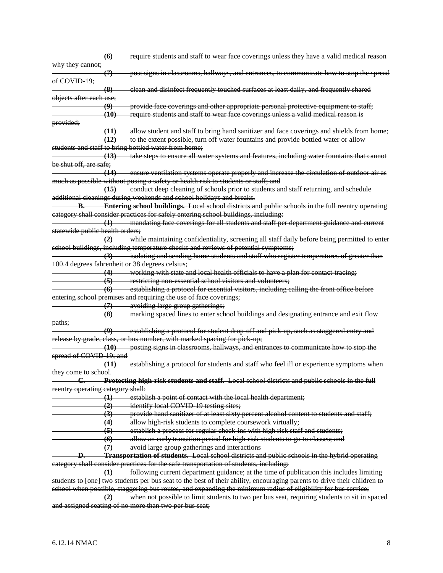|                                   | (6)                | require students and staff to wear face coverings unless they have a valid medical reason                                                      |
|-----------------------------------|--------------------|------------------------------------------------------------------------------------------------------------------------------------------------|
| why they cannot;                  |                    |                                                                                                                                                |
|                                   | (7)                | post signs in classrooms, hallways, and entrances, to communicate how to stop the spread                                                       |
| of COVID 19;                      |                    |                                                                                                                                                |
|                                   | (8)                | elean and disinfect frequently touched surfaces at least daily, and frequently shared                                                          |
| objects after each use;           |                    |                                                                                                                                                |
|                                   | $\left(9\right)$   | provide face coverings and other appropriate personal protective equipment to staff;                                                           |
|                                   | (10)               | require students and staff to wear face coverings unless a valid medical reason is                                                             |
| provided;                         |                    |                                                                                                                                                |
|                                   |                    | (11) allow student and staff to bring hand sanitizer and face coverings and shields from home;                                                 |
|                                   |                    | (12) to the extent possible, turn off water fountains and provide bottled water or allow                                                       |
|                                   |                    | students and staff to bring bottled water from home;                                                                                           |
|                                   |                    | (13) take steps to ensure all water systems and features, including water fountains that cannot                                                |
| <del>be shut off, are safe;</del> |                    |                                                                                                                                                |
|                                   |                    | (14) ensure ventilation systems operate properly and increase the circulation of outdoor air as                                                |
|                                   |                    | much as possible without posing a safety or health risk to students or staff; and                                                              |
|                                   |                    | (15) conduct deep cleaning of schools prior to students and staff returning, and schedule                                                      |
|                                   |                    | additional cleanings during weekends and school holidays and breaks.                                                                           |
|                                   |                    | <b>B.</b> Entering school buildings. Local school districts and public schools in the full reentry operating                                   |
|                                   |                    | category shall consider practices for safely entering school buildings, including:                                                             |
|                                   |                    | (1) mandating face coverings for all students and staff per department guidance and current                                                    |
| statewide public health orders;   |                    |                                                                                                                                                |
|                                   |                    | (2) while maintaining confidentiality, sereening all staff daily before being permitted to enter                                               |
|                                   |                    | school buildings, including temperature checks and reviews of potential symptoms;                                                              |
|                                   |                    |                                                                                                                                                |
|                                   |                    | (3) isolating and sending home students and staff who register temperatures of greater than<br>100.4 degrees fahrenheit or 38 degrees celsius; |
|                                   |                    |                                                                                                                                                |
|                                   |                    | (4) working with state and local health officials to have a plan for contact tracing;                                                          |
|                                   |                    | (5) restricting non essential school visitors and volunteers;                                                                                  |
|                                   | $\left( 6 \right)$ | establishing a protocol for essential visitors, including calling the front office before                                                      |
|                                   |                    | entering school premises and requiring the use of face coverings;                                                                              |
|                                   | $\left(7\right)$   | avoiding large group gatherings;                                                                                                               |
|                                   |                    | (8) marking spaced lines to enter school buildings and designating entrance and exit flow                                                      |
| paths;                            |                    |                                                                                                                                                |
|                                   |                    | (9) establishing a protocol for student drop off and pick up, such as staggered entry and                                                      |
|                                   |                    | release by grade, class, or bus number, with marked spacing for pick-up;                                                                       |
|                                   | (10)               | posting signs in classrooms, hallways, and entrances to communicate how to stop the                                                            |
| spread of COVID 19; and           |                    |                                                                                                                                                |
|                                   | - <del>(11)</del>  | establishing a protocol for students and staff who feel ill or experience symptoms when                                                        |
| they come to school.              |                    |                                                                                                                                                |
|                                   |                    | Protecting high-risk students and staff. Local school districts and public schools in the full                                                 |
| reentry operating category shall: |                    |                                                                                                                                                |
|                                   | $\left( 1\right)$  | establish a point of contact with the local health department;                                                                                 |
|                                   | (2)                | identify local COVID 19 testing sites;                                                                                                         |
|                                   | (3)                | provide hand sanitizer of at least sixty percent alcohol content to students and staff;                                                        |
|                                   | (4)                | allow high risk students to complete coursework virtually;                                                                                     |
|                                   | (5)                | establish a process for regular check ins with high risk staff and students;                                                                   |
|                                   | $\left( 6 \right)$ | allow an early transition period for high-risk students to go to classes; and                                                                  |
|                                   | $\varphi$          | avoid large group gatherings and interactions                                                                                                  |
| Ð.                                |                    | <b>Transportation of students.</b> Local school districts and public schools in the hybrid operating                                           |
|                                   |                    | category shall consider practices for the safe transportation of students, including:                                                          |
|                                   | $\left(1\right)$   | following current department guidance; at the time of publication this includes limiting                                                       |
|                                   |                    | students to [one] two students per bus seat to the best of their ability, encouraging parents to drive their children to                       |
|                                   |                    | school when possible, staggering bus routes, and expanding the minimum radius of eligibility for bus service;                                  |
|                                   |                    | (2) when not possible to limit students to two per bus seat, requiring students to sit in spaced                                               |
|                                   |                    | and assigned seating of no more than two per bus seat;                                                                                         |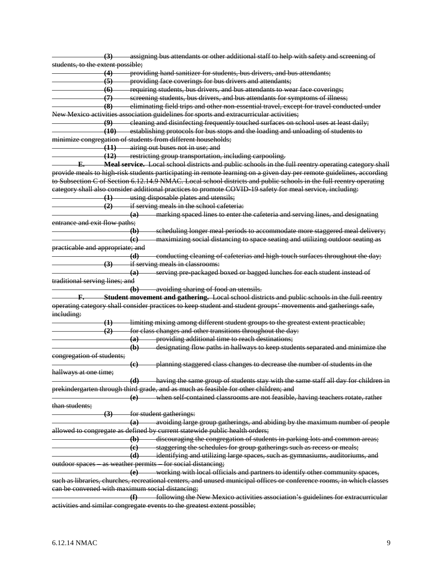|                                   | (3)               | assigning bus attendants or other additional staff to help with safety and screening of                               |
|-----------------------------------|-------------------|-----------------------------------------------------------------------------------------------------------------------|
| students, to the extent possible; |                   |                                                                                                                       |
|                                   | (4)               | providing hand sanitizer for students, bus drivers, and bus attendants;                                               |
|                                   | $\left( 5\right)$ | providing face coverings for bus drivers and attendants;                                                              |
|                                   |                   | (6) requiring students, bus drivers, and bus attendants to wear face coverings;                                       |
|                                   |                   | (7) screening students, bus drivers, and bus attendants for symptoms of illness;                                      |
|                                   |                   | (8) eliminating field trips and other non-essential travel, except for travel conducted under                         |
|                                   |                   | New Mexico activities association guidelines for sports and extracurricular activities;                               |
|                                   |                   | (9) cleaning and disinfecting frequently touched surfaces on school uses at least daily;                              |
|                                   |                   | (10) establishing protocols for bus stops and the loading and unloading of students to                                |
|                                   |                   | minimize congregation of students from different households;                                                          |
|                                   |                   | (11) airing out buses not in use; and                                                                                 |
|                                   |                   | (12) restricting group transportation, including carpooling.                                                          |
| -E.                               |                   | Meal service. Local school districts and public schools in the full reentry operating category shall                  |
|                                   |                   | provide meals to high risk students participating in remote learning on a given day per remote guidelines, according  |
|                                   |                   | to Subsection C of Section 6.12.14.9 NMAC. Local school districts and public schools in the full reentry operating    |
|                                   |                   | eategory shall also consider additional practices to promote COVID-19 safety for meal service, including:             |
|                                   |                   | (1) using disposable plates and utensils;                                                                             |
|                                   |                   | $(2)$ if serving meals in the school cafeteria:                                                                       |
|                                   |                   | (a) marking spaced lines to enter the cafeteria and serving lines, and designating                                    |
| entrance and exit flow paths;     |                   |                                                                                                                       |
|                                   |                   |                                                                                                                       |
|                                   |                   | (b) scheduling longer meal periods to accommodate more staggered meal delivery;                                       |
|                                   |                   | maximizing social distancing to space seating and utilizing outdoor seating as<br>$\left($ e $\right)$                |
| practicable and appropriate; and  |                   |                                                                                                                       |
|                                   |                   | (d)<br>-conducting cleaning of cafeterias and high touch surfaces throughout the day;                                 |
|                                   | $\left( 3\right)$ | if serving meals in classrooms:                                                                                       |
|                                   |                   | serving pre packaged boxed or bagged lunches for each student instead of<br>$\overline{a}$                            |
| traditional serving lines; and    |                   |                                                                                                                       |
|                                   |                   | (b) avoiding sharing of food an utensils.                                                                             |
|                                   |                   | F. Student movement and gathering. Local school districts and public schools in the full reentry                      |
|                                   |                   | operating category shall consider practices to keep student and student groups' movements and gatherings safe,        |
| ineluding:                        |                   |                                                                                                                       |
|                                   | $\leftrightarrow$ | limiting mixing among different student groups to the greatest extent practicable;                                    |
|                                   | (2)               | for class changes and other transitions throughout the day:                                                           |
|                                   |                   | providing additional time to reach destinations;<br>(a)                                                               |
|                                   |                   | designating flow paths in hallways to keep students separated and minimize the<br>$\left( \mathbf{b}\right)$          |
| congregation of students;         |                   |                                                                                                                       |
|                                   |                   | planning staggered class changes to decrease the number of students in the<br>$\left($ e $\right)$                    |
| hallways at one time;             |                   |                                                                                                                       |
|                                   |                   | having the same group of students stay with the same staff all day for children in<br>$\Theta$                        |
|                                   |                   | prekindergarten through third grade, and as much as feasible for other children; and                                  |
|                                   |                   | when self contained classrooms are not feasible, having teachers rotate, rather<br>(e)                                |
| than students;                    |                   |                                                                                                                       |
|                                   | $\left( 3\right)$ | for student gatherings:                                                                                               |
|                                   |                   | avoiding large group gatherings, and abiding by the maximum number of people<br>$\left( a\right)$                     |
|                                   |                   | allowed to congregate as defined by current statewide public health orders;                                           |
|                                   |                   | (b) discouraging the congregation of students in parking lots and common areas;                                       |
|                                   |                   | (c) staggering the schedules for group gatherings such as recess or meals;                                            |
|                                   |                   | (d) identifying and utilizing large spaces, such as gymnasiums, auditoriums, and                                      |
|                                   |                   | outdoor spaces as weather permits for social distancing;                                                              |
|                                   |                   | (e) working with local officials and partners to identify other community spaces,                                     |
|                                   |                   | such as libraries, churches, recreational centers, and unused municipal offices or conference rooms, in which classes |
|                                   |                   | ean be convened with maximum social distancing;                                                                       |
|                                   |                   | $\bigoplus$<br>following the New Mexico activities association's guidelines for extracurricular                       |
|                                   |                   | activities and similar congregate events to the greatest extent possible;                                             |
|                                   |                   |                                                                                                                       |